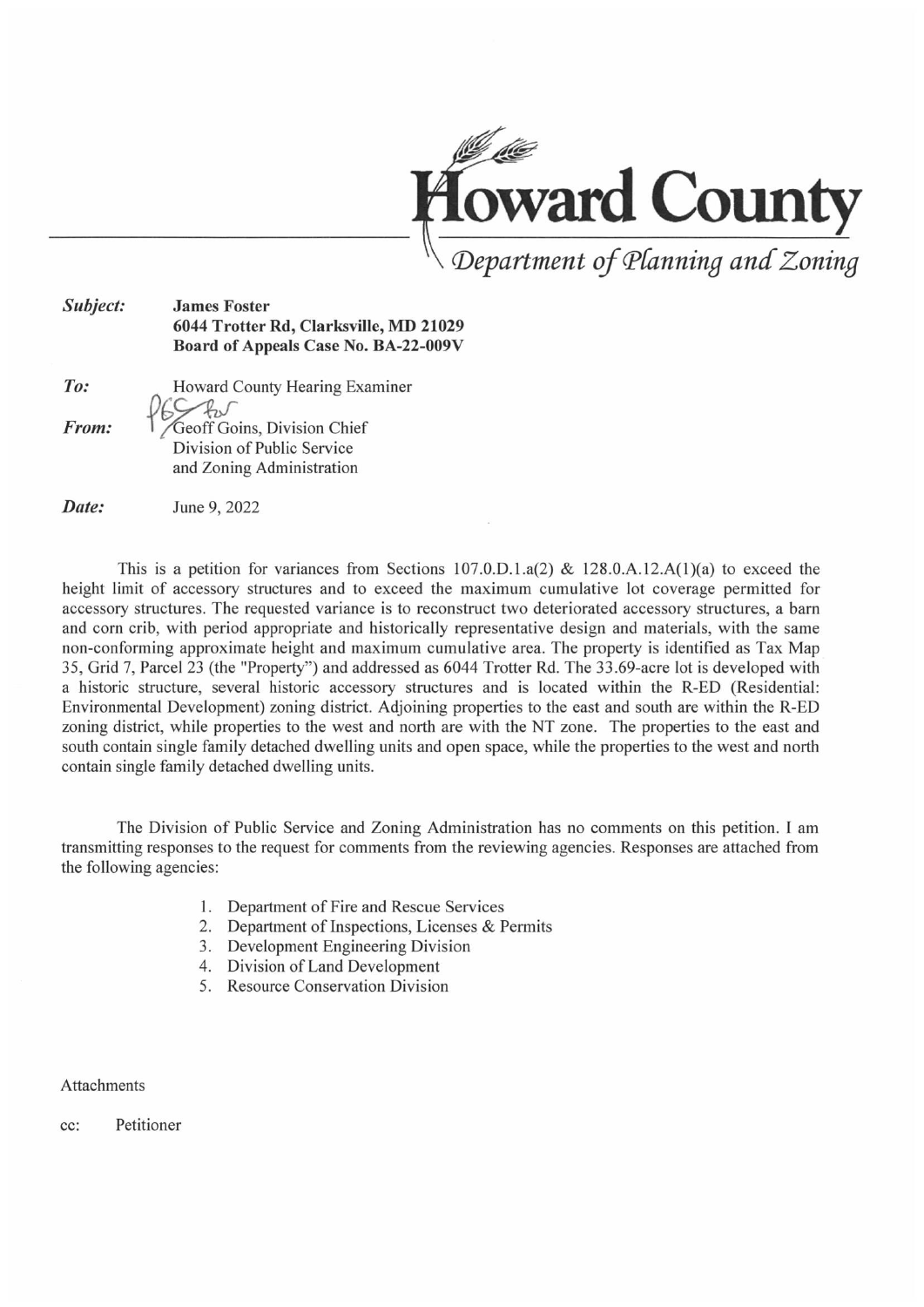

#### Subject: James Foster 6044 Trotter Rd, Clarksville, MD 21029 Board of Appeals Case No. BA-22-009V

| To:   | Howard County Hearing Examiner |
|-------|--------------------------------|
|       | The                            |
| From: | Geoff Goins, Division Chief    |
|       | Division of Public Service     |
|       | and Zoning Administration      |

**Date:** June 9, 2022

This is a petition for variances from Sections 107.0.D.1.a(2) & 128.0.A.12.A(1)(a) to exceed the height limit of accessory structures and to exceed the maximum cumulative lot coverage permitted for accessory structures. The requested variance is to reconstruct two deteriorated accessory structures, a barn and corn crib, with period appropriate and historically representative design and materials, with the same non-conforming approximate height and maximum cumulative area. The property is identified as Tax Map 35, Grid 7, Parcel 23 (the "Property") and addressed as 6044 Trotter Rd. The 33.69-acre lot is developed with a historic structure, several historic accessory structures and is located within the R-ED (Residential: Environmental Development) zoning district. Adjoining properties to the east and south are within the R-ED zoning district, while properties to the west and north are with the NT zone. The properties to the east and south contain single family detached dwelling units and open space, while the properties to the west and north contain single family detached dwelling units.

The Division of Public Service and Zoning Administration has no comments on this petition. I am transmitting responses to the request for comments from the reviewing agencies. Responses are attached from the following agencies:

- 1 Department of Fire and Rescue Services
- 2 Department of Inspections, Licenses & Permits
- 3 Development Engineering Division
- 4 Division of Land Development
- 5 Resource Conservation Division

Attachments

cc: Petitioner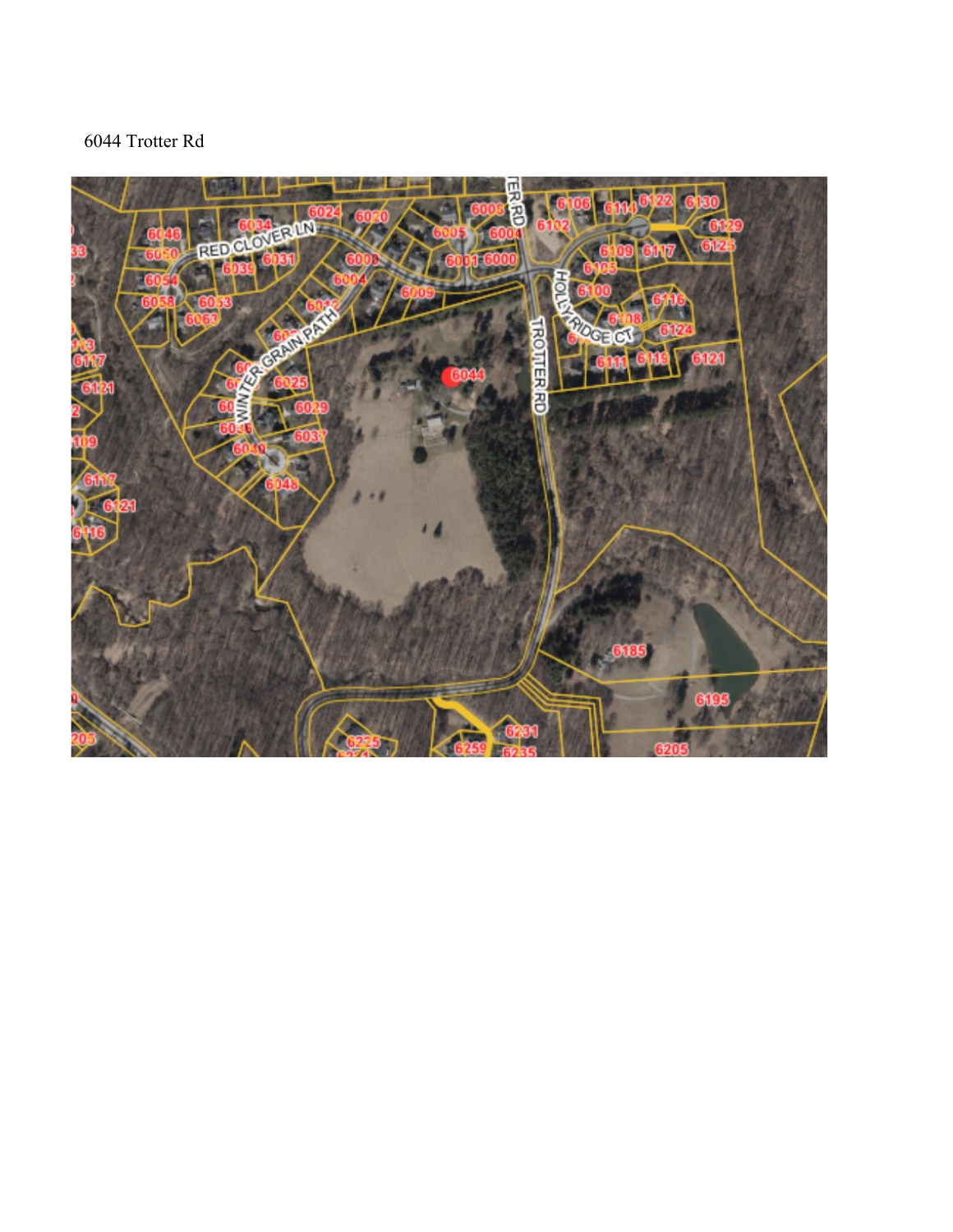## 6044 Trotter Rd

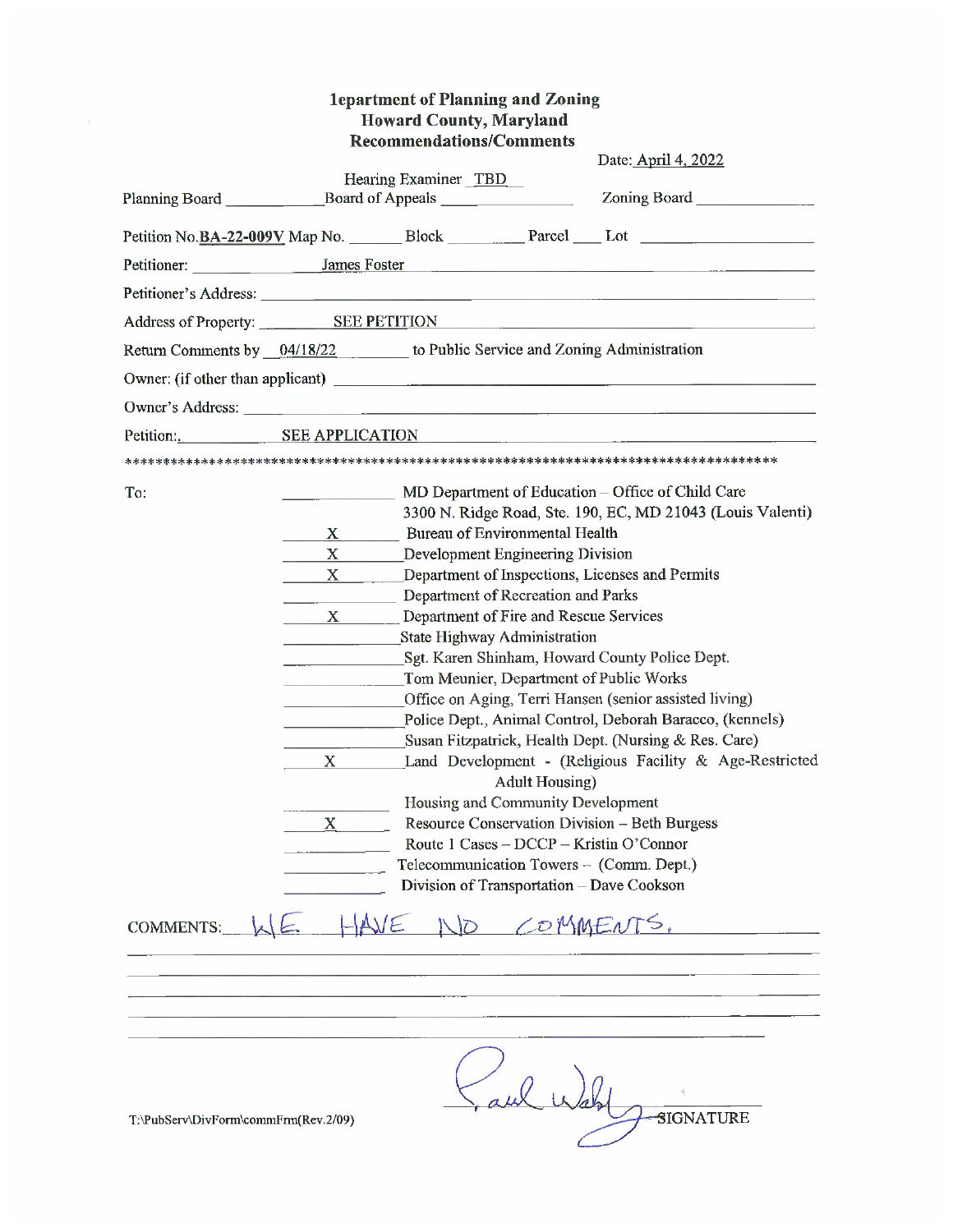|                  |                            | <b>1epartment of Planning and Zoning</b><br><b>Howard County, Maryland</b>                                                                                                                                                                                                                                                                                                                                                                                                                                                                                                                                                                                               |
|------------------|----------------------------|--------------------------------------------------------------------------------------------------------------------------------------------------------------------------------------------------------------------------------------------------------------------------------------------------------------------------------------------------------------------------------------------------------------------------------------------------------------------------------------------------------------------------------------------------------------------------------------------------------------------------------------------------------------------------|
|                  |                            | <b>Recommendations/Comments</b>                                                                                                                                                                                                                                                                                                                                                                                                                                                                                                                                                                                                                                          |
|                  |                            | Date: April 4, 2022                                                                                                                                                                                                                                                                                                                                                                                                                                                                                                                                                                                                                                                      |
|                  |                            | Hearing Examiner TBD<br>Planning Board ________________________Board of Appeals ________________________                                                                                                                                                                                                                                                                                                                                                                                                                                                                                                                                                                 |
|                  |                            |                                                                                                                                                                                                                                                                                                                                                                                                                                                                                                                                                                                                                                                                          |
|                  |                            | Petitioner: James Foster James Foster                                                                                                                                                                                                                                                                                                                                                                                                                                                                                                                                                                                                                                    |
|                  |                            |                                                                                                                                                                                                                                                                                                                                                                                                                                                                                                                                                                                                                                                                          |
|                  |                            | Address of Property: SEE PETITION Andreas and the contract of Property:                                                                                                                                                                                                                                                                                                                                                                                                                                                                                                                                                                                                  |
|                  |                            | Return Comments by 04/18/22 to Public Service and Zoning Administration                                                                                                                                                                                                                                                                                                                                                                                                                                                                                                                                                                                                  |
|                  |                            | Owner: (if other than applicant)                                                                                                                                                                                                                                                                                                                                                                                                                                                                                                                                                                                                                                         |
|                  |                            |                                                                                                                                                                                                                                                                                                                                                                                                                                                                                                                                                                                                                                                                          |
|                  |                            | Petition: SEE APPLICATION                                                                                                                                                                                                                                                                                                                                                                                                                                                                                                                                                                                                                                                |
|                  |                            |                                                                                                                                                                                                                                                                                                                                                                                                                                                                                                                                                                                                                                                                          |
| To:              | $X_{-}$<br>X               | MD Department of Education – Office of Child Care<br>3300 N. Ridge Road, Ste. 190, EC, MD 21043 (Louis Valenti)<br>X Bureau of Environmental Health<br>Development Engineering Division<br>Department of Inspections, Licenses and Permits<br>Department of Recreation and Parks                                                                                                                                                                                                                                                                                                                                                                                         |
|                  | $\mathbf X$<br>$\mathbf X$ | X Department of Fire and Rescue Services<br><b>State Highway Administration</b><br>Sgt. Karen Shinham, Howard County Police Dept.<br>Tom Meunier, Department of Public Works<br>Office on Aging, Terri Hansen (senior assisted living)<br>Police Dept., Animal Control, Deborah Baracco, (kennels)<br>Susan Fitzpatrick, Health Dept. (Nursing & Res. Care)<br>Land Development - (Religious Facility & Age-Restricted<br><b>Adult Housing</b><br>Housing and Community Development<br>Resource Conservation Division - Beth Burgess<br>Route 1 Cases - DCCP - Kristin O'Connor<br>Telecommunication Towers - (Comm. Dept.)<br>Division of Transportation - Dave Cookson |
| <b>COMMENTS:</b> |                            | 10 COMMENTS.                                                                                                                                                                                                                                                                                                                                                                                                                                                                                                                                                                                                                                                             |
|                  |                            |                                                                                                                                                                                                                                                                                                                                                                                                                                                                                                                                                                                                                                                                          |

T:\PubServ\DivForm\commFrm(Rev.2/09)

SIGNATURE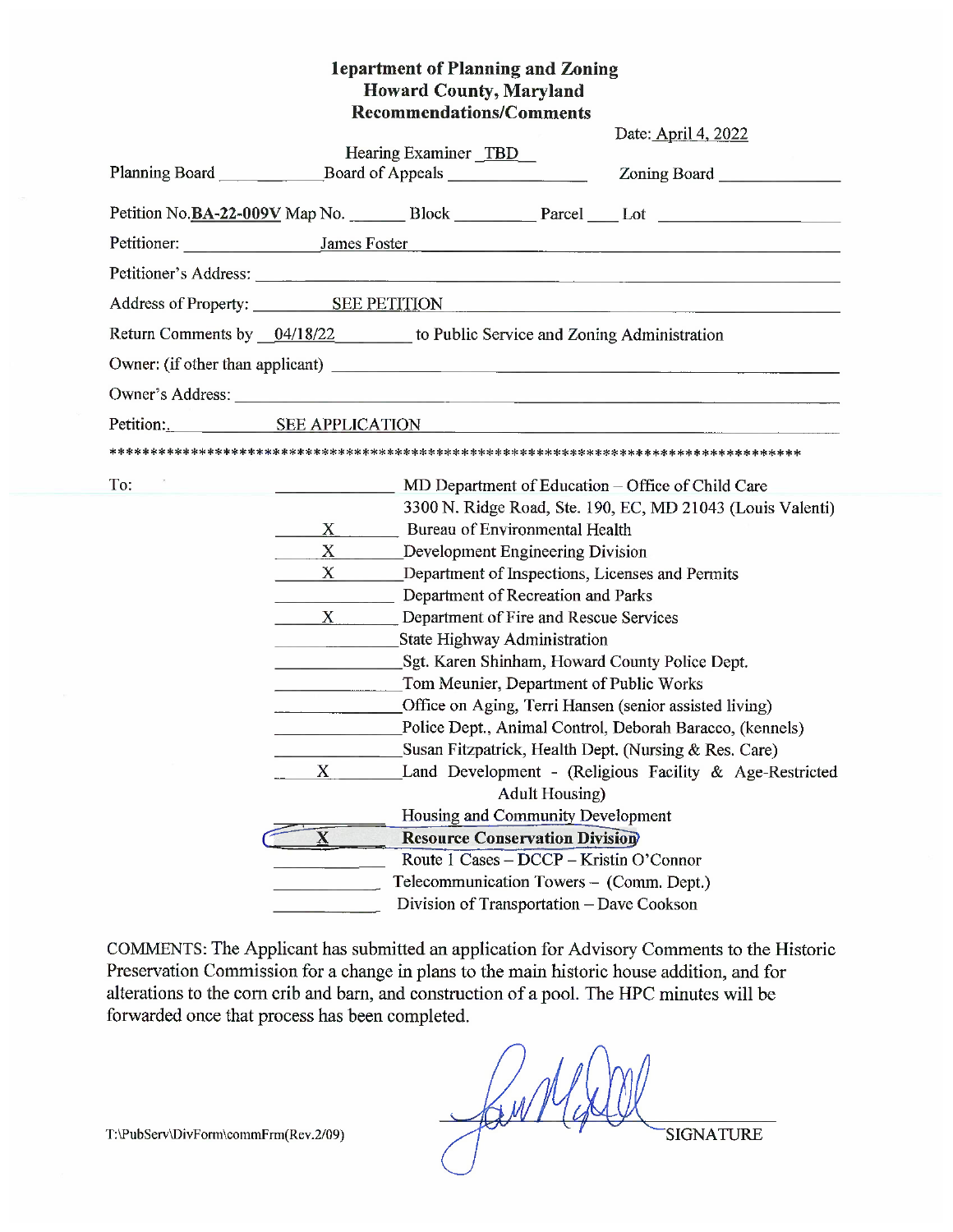#### 1epartment of Planning and Zoning **Howard County, Maryland Recommendations/Comments**

|                                                                                                                                                                                                                   |  |                                                                         |                                                                                                                                                                                                                       | Date: April 4, 2022                                                                                                                                                                                                                                                                                                                                                                                         |  |
|-------------------------------------------------------------------------------------------------------------------------------------------------------------------------------------------------------------------|--|-------------------------------------------------------------------------|-----------------------------------------------------------------------------------------------------------------------------------------------------------------------------------------------------------------------|-------------------------------------------------------------------------------------------------------------------------------------------------------------------------------------------------------------------------------------------------------------------------------------------------------------------------------------------------------------------------------------------------------------|--|
| Planning Board                                                                                                                                                                                                    |  | Hearing Examiner TBD                                                    |                                                                                                                                                                                                                       |                                                                                                                                                                                                                                                                                                                                                                                                             |  |
|                                                                                                                                                                                                                   |  |                                                                         |                                                                                                                                                                                                                       |                                                                                                                                                                                                                                                                                                                                                                                                             |  |
|                                                                                                                                                                                                                   |  |                                                                         |                                                                                                                                                                                                                       | Petitioner: James Foster James Foster                                                                                                                                                                                                                                                                                                                                                                       |  |
|                                                                                                                                                                                                                   |  |                                                                         |                                                                                                                                                                                                                       |                                                                                                                                                                                                                                                                                                                                                                                                             |  |
|                                                                                                                                                                                                                   |  |                                                                         |                                                                                                                                                                                                                       | Address of Property: SEE PETITION                                                                                                                                                                                                                                                                                                                                                                           |  |
|                                                                                                                                                                                                                   |  | Return Comments by 04/18/22 to Public Service and Zoning Administration |                                                                                                                                                                                                                       |                                                                                                                                                                                                                                                                                                                                                                                                             |  |
|                                                                                                                                                                                                                   |  |                                                                         |                                                                                                                                                                                                                       |                                                                                                                                                                                                                                                                                                                                                                                                             |  |
|                                                                                                                                                                                                                   |  |                                                                         |                                                                                                                                                                                                                       |                                                                                                                                                                                                                                                                                                                                                                                                             |  |
| Petition: SEE APPLICATION                                                                                                                                                                                         |  |                                                                         |                                                                                                                                                                                                                       |                                                                                                                                                                                                                                                                                                                                                                                                             |  |
|                                                                                                                                                                                                                   |  |                                                                         |                                                                                                                                                                                                                       |                                                                                                                                                                                                                                                                                                                                                                                                             |  |
| To:<br>X<br>$\mathbf{X}$<br>X Department of Inspections, Licenses and Permits<br>Department of Recreation and Parks<br>X Department of Fire and Rescue Services<br>State Highway Administration<br>$\overline{X}$ |  |                                                                         | Bureau of Environmental Health<br>Development Engineering Division<br>Tom Meunier, Department of Public Works<br><b>Adult Housing</b> )<br>Housing and Community Development<br><b>Resource Conservation Division</b> | MD Department of Education – Office of Child Care<br>3300 N. Ridge Road, Ste. 190, EC, MD 21043 (Louis Valenti)<br>Sgt. Karen Shinham, Howard County Police Dept.<br>Office on Aging, Terri Hansen (senior assisted living)<br>Police Dept., Animal Control, Deborah Baracco, (kennels)<br>Susan Fitzpatrick, Health Dept. (Nursing & Res. Care)<br>Land Development - (Religious Facility & Age-Restricted |  |
|                                                                                                                                                                                                                   |  |                                                                         | Route 1 Cases - DCCP - Kristin O'Connor<br>Telecommunication Towers - (Comm. Dept.)<br>Division of Transportation - Dave Cookson                                                                                      |                                                                                                                                                                                                                                                                                                                                                                                                             |  |

COMMENTS: The Applicant has submitted an application for Advisory Comments to the Historic Preservation Commission for a change in plans to the main historic house addition, and for alterations to the corn crib and barn, and construction of a pool. The HPC minutes will be forwarded once that process has been completed.

> JanNy **SIGNATURE**

T:\PubServ\DivForm\commFrm(Rev.2/09)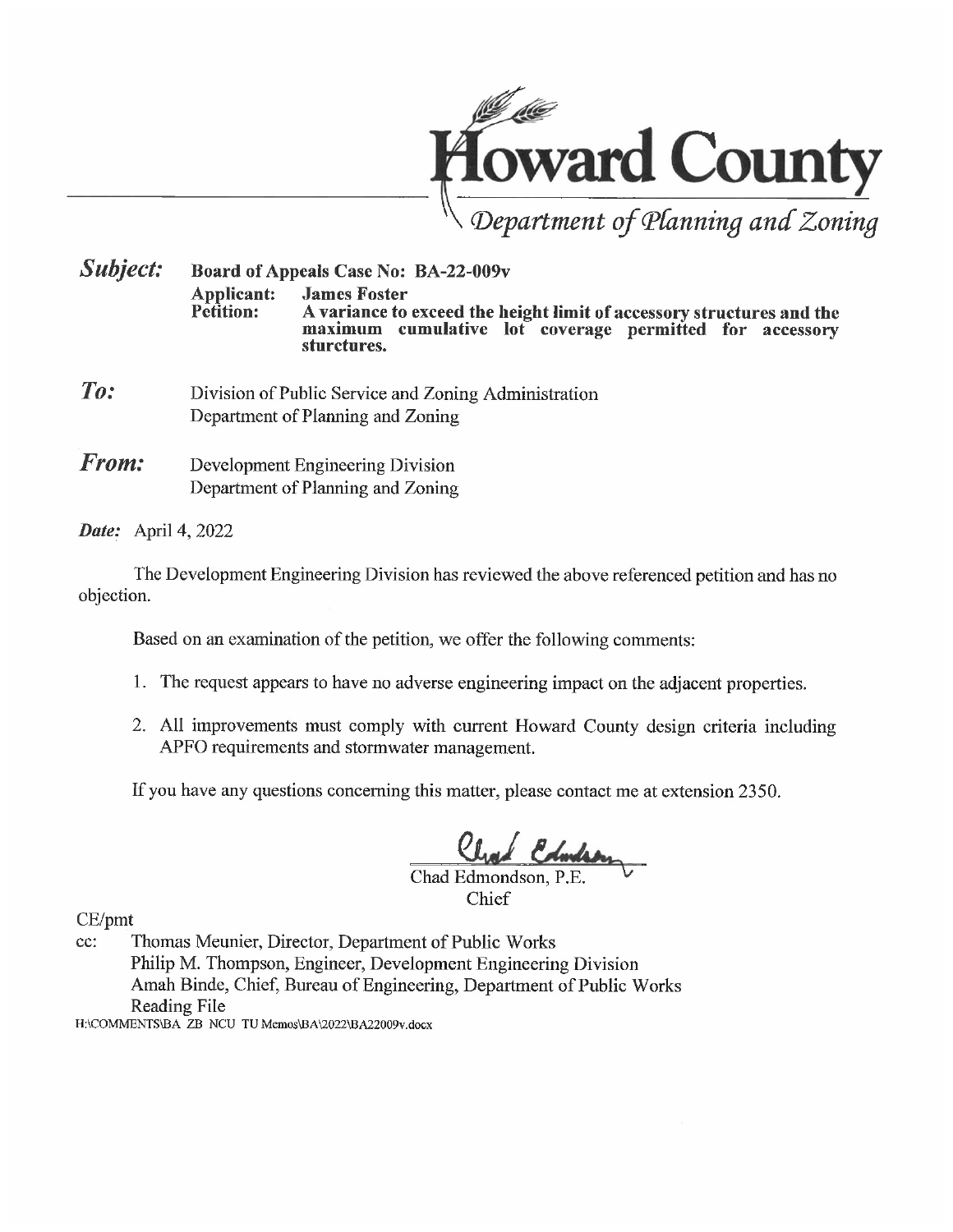

**Subject:** Board of Appeals Case No: BA-22-009v **Applicant: James Foster** Petition: A variance to exceed the height limit of accessory structures and the maximum cumulative lot coverage permitted for accessory sturctures.

- $To:$ Division of Public Service and Zoning Administration Department of Planning and Zoning
- From: Development Engineering Division Department of Planning and Zoning

Date: April 4, 2022

The Development Engineering Division has reviewed the above referenced petition and has no objection.

Based on an examination of the petition, we offer the following comments:

- 1. The request appears to have no adverse engineering impact on the adjacent properties.
- 2. All improvements must comply with current Howard County design criteria including APFO requirements and stormwater management.

If you have any questions concerning this matter, please contact me at extension 2350.

Chad Edmondson, P.E.

Chief

CE/pmt

Thomas Meunier, Director, Department of Public Works cc: Philip M. Thompson, Engineer, Development Engineering Division Amah Binde, Chief, Bureau of Engineering, Department of Public Works Reading File

H:\COMMENTS\BA\_ZB\_NCU\_TU Memos\BA\2022\BA22009v.docx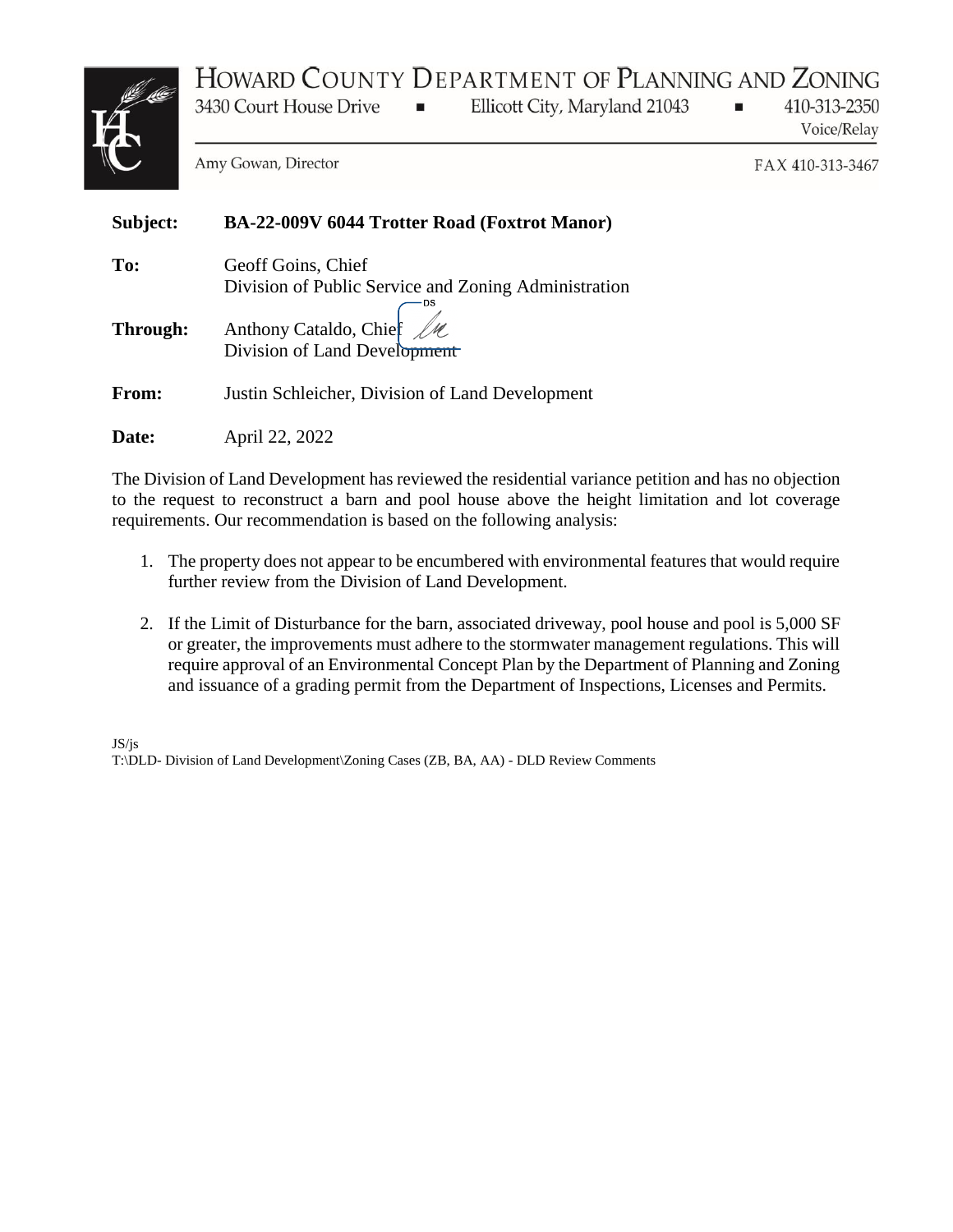# HOWARD COUNTY DEPARTMENT OF PLANNING AND ZONING



3430 Court House Drive  $\blacksquare$  Ellicott City, Maryland 21043

410-313-2350 Voice/Relay

 $\blacksquare$ 

Amy Gowan, Director

FAX 410-313-3467

| Subject: | BA-22-009V 6044 Trotter Road (Foxtrot Manor)                               |
|----------|----------------------------------------------------------------------------|
| To:      | Geoff Goins, Chief<br>Division of Public Service and Zoning Administration |
| Through: | Anthony Cataldo, Chief $\mathcal{U}\ell$<br>Division of Land Development   |
| From:    | Justin Schleicher, Division of Land Development                            |
| Date:    | April 22, 2022                                                             |

The Division of Land Development has reviewed the residential variance petition and has no objection to the request to reconstruct a barn and pool house above the height limitation and lot coverage requirements. Our recommendation is based on the following analysis:

- 1. The property does not appear to be encumbered with environmental features that would require further review from the Division of Land Development.
- 2. If the Limit of Disturbance for the barn, associated driveway, pool house and pool is 5,000 SF or greater, the improvements must adhere to the stormwater management regulations. This will require approval of an Environmental Concept Plan by the Department of Planning and Zoning and issuance of a grading permit from the Department of Inspections, Licenses and Permits.

JS/js T:\DLD- Division of Land Development\Zoning Cases (ZB, BA, AA) - DLD Review Comments